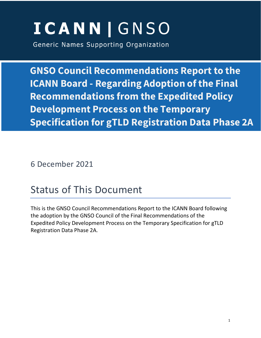# **ICANN | GNSO**

Generic Names Supporting Organization

**GNSO Council Recommendations Report to the ICANN Board - Regarding Adoption of the Final Recommendations from the Expedited Policy Development Process on the Temporary Specification for gTLD Registration Data Phase 2A**

6 December 2021

# Status of This Document

This is the GNSO Council Recommendations Report to the ICANN Board following the adoption by the GNSO Council of the Final Recommendations of the Expedited Policy Development Process on the Temporary Specification for gTLD Registration Data Phase 2A.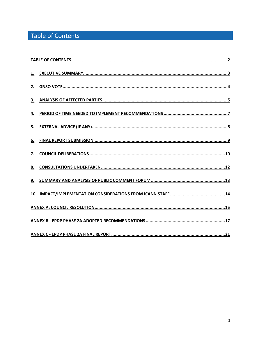# <span id="page-1-0"></span>Table of Contents

| 2.        |  |
|-----------|--|
| 3.        |  |
| <u>4.</u> |  |
| 5.        |  |
| 6.        |  |
| 7.        |  |
| 8.        |  |
|           |  |
|           |  |
|           |  |
|           |  |
|           |  |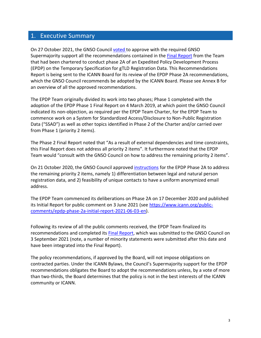### <span id="page-2-0"></span>1. Executive Summary

On 27 October 2021, the GNSO Council [voted](https://gnso.icann.org/en/council/resolutions/2020-current#20211027-2) to approve with the required GNSO Supermajority support all the recommendations contained in the [Final Report](https://gnso.icann.org/en/issues/epdp-phase-2a-updated-final-report-13sep21-en.pdf) from the Team that had been chartered to conduct phase 2A of an Expedited Policy Development Process (EPDP) on the Temporary Specification for gTLD Registration Data. This Recommendations Report is being sent to the ICANN Board for its review of the EPDP Phase 2A recommendations, which the GNSO Council recommends be adopted by the ICANN Board. Please see Annex B for an overview of all the approved recommendations.

The EPDP Team originally divided its work into two phases; Phase 1 completed with the adoption of the EPDP Phase 1 Final Report on 4 March 2019, at which point the GNSO Council indicated its non-objection, as required per the EPDP Team Charter, for the EPDP Team to commence work on a System for Standardized Access/Disclosure to Non-Public Registration Data ("SSAD") as well as other topics identified in Phase 2 of the Charter and/or carried over from Phase 1 (priority 2 items).

The Phase 2 Final Report noted that "As a result of external dependencies and time constraints, this Final Report does not address all priority 2 items". It furthermore noted that the EPDP Team would "consult with the GNSO Council on how to address the remaining priority 2 items".

On 21 October 2020, the GNSO Council approved [instructions](https://gnso.icann.org/sites/default/files/file/field-file-attach/epdp-2-priority-2-items-10sep20-en.pdf) for the EPDP Phase 2A to address the remaining priority 2 items, namely 1) differentiation between legal and natural person registration data, and 2) feasibility of unique contacts to have a uniform anonymized email address.

The EPDP Team commenced its deliberations on Phase 2A on 17 December 2020 and published its Initial Report for public comment on 3 June 2021 (see [https://www.icann.org/public](https://www.icann.org/public-comments/epdp-phase-2a-initial-report-2021-06-03-en)[comments/epdp-phase-2a-initial-report-2021-06-03-en\)](https://www.icann.org/public-comments/epdp-phase-2a-initial-report-2021-06-03-en).

Following its review of all the public comments received, the EPDP Team finalized its recommendations and completed its [Final Report,](https://gnso.icann.org/en/issues/epdp-phase-2a-updated-final-report-13sep21-en.pdf) which was submitted to the GNSO Council on 3 September 2021 (note, a number of minority statements were submitted after this date and have been integrated into the Final Report).

The policy recommendations, if approved by the Board, will not impose obligations on contracted parties. Under the ICANN Bylaws, the Council's Supermajority support for the EPDP recommendations obligates the Board to adopt the recommendations unless, by a vote of more than two-thirds, the Board determines that the policy is not in the best interests of the ICANN community or ICANN.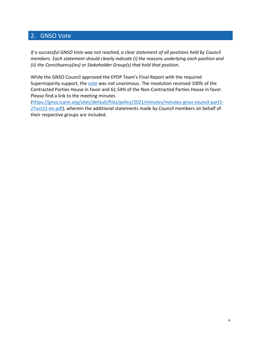# <span id="page-3-0"></span>2. GNSO Vote

*If a successful GNSO Vote was not reached, a clear statement of all positions held by Council members. Each statement should clearly indicate (i) the reasons underlying each position and (ii) the Constituency(ies) or Stakeholder Group(s) that held that position.* 

While the GNSO Council approved the EPDP Team's Final Report with the required Supermajority support, the [vote](https://gnso.icann.org/sites/default/files/policy/2021/vote-result/gnso-council-motion-recorder-27oct21-en.pdf) was not unanimous. The resolution received 100% of the Contracted Parties House in favor and 61.54% of the Non-Contracted Parties House in favor. Please find a link to the meeting minutes

[\(https://gnso.icann.org/sites/default/files/policy/2021/minutes/minutes-gnso-council-part1-](https://gnso.icann.org/sites/default/files/policy/2021/minutes/minutes-gnso-council-part1-27oct21-en.pdf) [27oct21-en.pdf\)](https://gnso.icann.org/sites/default/files/policy/2021/minutes/minutes-gnso-council-part1-27oct21-en.pdf), wherein the additional statements made by Council members on behalf of their respective groups are included.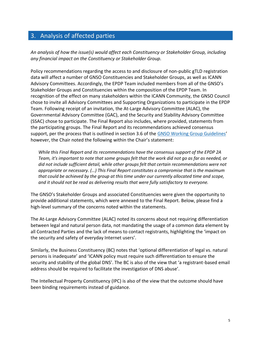### <span id="page-4-0"></span>3. Analysis of affected parties

*An analysis of how the issue(s) would affect each Constituency or Stakeholder Group, including any financial impact on the Constituency or Stakeholder Group.* 

Policy recommendations regarding the access to and disclosure of non-public gTLD registration data will affect a number of GNSO Constituencies and Stakeholder Groups, as well as ICANN Advisory Committees. Accordingly, the EPDP Team included members from all of the GNSO's Stakeholder Groups and Constituencies within the composition of the EPDP Team. In recognition of the effect on many stakeholders within the ICANN Community, the GNSO Council chose to invite all Advisory Committees and Supporting Organizations to participate in the EPDP Team. Following receipt of an invitation, the At-Large Advisory Committee (ALAC), the Governmental Advisory Committee (GAC), and the Security and Stability Advisory Committee (SSAC) chose to participate. The Final Report also includes, where provided, statements from the participating groups. The Final Report and its recommendations achieved consensus support, per the process that is outlined in section 3.6 of the [GNSO Working Group Guidelines](https://gnso.icann.org/sites/default/files/file/field-file-attach/annex-1-gnso-wg-guidelines-24oct19-en.pdf)' however, the Chair noted the following within the Chair's statement:

*While this Final Report and its recommendations have the consensus support of the EPDP 2A Team, it's important to note that some groups felt that the work did not go as far as needed, or did not include sufficient detail, while other groups felt that certain recommendations were not appropriate or necessary. (…) This Final Report constitutes a compromise that is the maximum that could be achieved by the group at this time under our currently allocated time and scope, and it should not be read as delivering results that were fully satisfactory to everyone.*

The GNSO's Stakeholder Groups and associated Constituencies were given the opportunity to provide additional statements, which were annexed to the Final Report. Below, please find a high-level summary of the concerns noted within the statements.

The At-Large Advisory Committee (ALAC) noted its concerns about not requiring differentiation between legal and natural person data, not mandating the usage of a common data element by all Contracted Parties and the lack of means to contact registrants, highlighting the 'impact on the security and safety of everyday Internet users'.

Similarly, the Business Constituency (BC) notes that 'optional differentiation of legal vs. natural persons is inadequate' and 'ICANN policy must require such differentiation to ensure the security and stability of the global DNS'. The BC is also of the view that 'a registrant-based email address should be required to facilitate the investigation of DNS abuse'.

The Intellectual Property Constituency (IPC) is also of the view that the outcome should have been binding requirements instead of guidance.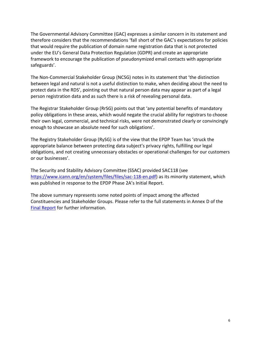The Governmental Advisory Committee (GAC) expresses a similar concern in its statement and therefore considers that the recommendations 'fall short of the GAC's expectations for policies that would require the publication of domain name registration data that is not protected under the EU's General Data Protection Regulation (GDPR) and create an appropriate framework to encourage the publication of pseudonymized email contacts with appropriate safeguards'.

The Non-Commercial Stakeholder Group (NCSG) notes in its statement that 'the distinction between legal and natural is not a useful distinction to make, when deciding about the need to protect data in the RDS', pointing out that natural person data may appear as part of a legal person registration data and as such there is a risk of revealing personal data.

The Registrar Stakeholder Group (RrSG) points out that 'any potential benefits of mandatory policy obligations in these areas, which would negate the crucial ability for registrars to choose their own legal, commercial, and technical risks, were not demonstrated clearly or convincingly enough to showcase an absolute need for such obligations'.

The Registry Stakeholder Group (RySG) is of the view that the EPDP Team has 'struck the appropriate balance between protecting data subject's privacy rights, fulfilling our legal obligations, and not creating unnecessary obstacles or operational challenges for our customers or our businesses'.

The Security and Stability Advisory Committee (SSAC) provided SAC118 (see [https://www.icann.org/en/system/files/files/sac-118-en.pdf\)](https://www.icann.org/en/system/files/files/sac-118-en.pdf) as its minority statement, which was published in response to the EPDP Phase 2A's Initial Report.

The above summary represents some noted points of impact among the affected Constituencies and Stakeholder Groups. Please refer to the full statements in Annex D of the [Final Report](https://gnso.icann.org/en/issues/epdp-phase-2a-updated-final-report-13sep21-en.pdf) for further information.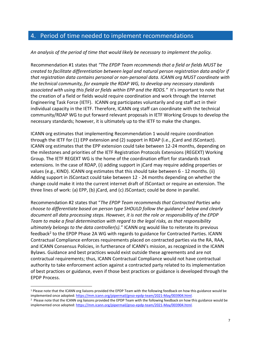### <span id="page-6-0"></span>4. Period of time needed to implement recommendations

*An analysis of the period of time that would likely be necessary to implement the policy.* 

Recommendation #1 states that *"The EPDP Team recommends that a field or fields MUST be created to facilitate differentiation between legal and natural person registration data and/or if that registration data contains personal or non-personal data. ICANN org MUST coordinate with the technical community, for example the RDAP WG, to develop any necessary standards associated with using this field or fields within EPP and the RDDS."* It's important to note that the creation of a field or fields would require coordination and work through the Internet Engineering Task Force (IETF). ICANN org participates voluntarily and org staff act in their individual capacity in the IETF. Therefore, ICANN org staff can coordinate with the technical community/RDAP WG to put forward relevant proposals in IETF Working Groups to develop the necessary standards; however, it is ultimately up to the IETF to make the changes.

ICANN org estimates that implementing Recommendation 1 would require coordination through the IETF for (1) EPP extension and (2) support in RDAP (i.e., jCard and JSContact). ICANN org estimates that the EPP extension could take between 12-24 months, depending on the milestones and priorities of the IETF Registration Protocols Extensions (REGEXT) Working Group. The IETF REGEXT WG is the home of the coordination effort for standards track extensions. In the case of RDAP, (i) adding support in jCard may require adding properties or values (e.g., KIND). ICANN org estimates that this should take between 6 - 12 months. (ii) Adding support in JSContact could take between 12 - 24 months depending on whether the change could make it into the current internet draft of JSContact or require an extension. The three lines of work: (a) EPP, (b) jCard, and (c) JSContact; could be done in parallel.

Recommendation #2 states that "*The EPDP Team recommends that Contracted Parties who choose to differentiate based on person type SHOULD follow the guidance<sup>1</sup> below and clearly document all data processing steps. However, it is not the role or responsibility of the EPDP Team to make a final determination with regard to the legal risks, as that responsibility ultimately belongs to the data controller(s).*" ICANN org would like to reiterate its previous feedback<sup>2</sup> to the EPDP Phase 2A WG with regards to guidance for Contracted Parties. ICANN Contractual Compliance enforces requirements placed on contracted parties via the RA, RAA, and ICANN Consensus Policies, in furtherance of ICANN's mission, as recognized in the ICANN Bylaws. Guidance and best practices would exist outside these agreements and are not contractual requirements; thus, ICANN Contractual Compliance would not have contractual authority to take enforcement action against a contracted party related to its implementation of best practices or guidance, even if those best practices or guidance is developed through the EPDP Process.

<sup>&</sup>lt;sup>1</sup> Please note that the ICANN org liaisons provided the EPDP Team with the following feedback on how this guidance would be implemented once adopted[: https://mm.icann.org/pipermail/gnso-epdp-team/2021-May/003904.html.](https://mm.icann.org/pipermail/gnso-epdp-team/2021-May/003904.html)

<sup>&</sup>lt;sup>2</sup> Please note that the ICANN org liaisons provided the EPDP Team with the following feedback on how this guidance would be implemented once adopted[: https://mm.icann.org/pipermail/gnso-epdp-team/2021-May/003904.html.](https://mm.icann.org/pipermail/gnso-epdp-team/2021-May/003904.html)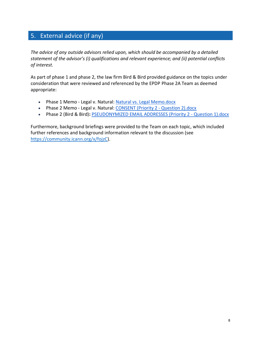# <span id="page-7-0"></span>5. External advice (if any)

*The advice of any outside advisors relied upon, which should be accompanied by a detailed statement of the advisor's (i) qualifications and relevant experience; and (ii) potential conflicts of interest.* 

As part of phase 1 and phase 2, the law firm Bird & Bird provided guidance on the topics under consideration that were reviewed and referenced by the EPDP Phase 2A Team as deemed appropriate:

- Phase 1 Memo Legal v. Natural: [Natural vs. Legal Memo.docx](https://community.icann.org/download/attachments/102138857/Natural%20vs.%20Legal%20Memo.docx?version=1&modificationDate=1548874825000&api=v2)
- Phase 2 Memo Legal v. Natural: [CONSENT \(Priority 2 -](https://community.icann.org/download/attachments/111388744/ICANN%20memo%2013%20March%202020%20-%20consent.docx?version=1&modificationDate=1584121399000&api=v2) Question 2).docx
- Phase 2 (Bird & Bird)**:** [PSEUDONYMIZED EMAIL ADDRESSES \(Priority 2 -](https://community.icann.org/download/attachments/111388744/Memo%20-%20ICANN%20-%2004.02.2020.docx?version=1&modificationDate=1581360214000&api=v2) Question 1).docx

Furthermore, background briefings were provided to the Team on each topic, which included further references and background information relevant to the discussion (see [https://community.icann.org/x/fojzC\)](https://community.icann.org/x/fojzC).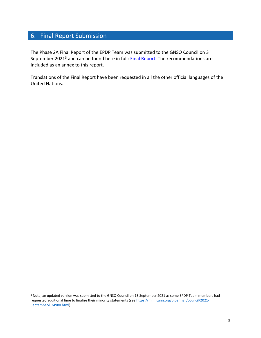# <span id="page-8-0"></span>6. Final Report Submission

The Phase 2A Final Report of the EPDP Team was submitted to the GNSO Council on 3 September 2021<sup>3</sup> and can be found here in full: [Final Report.](https://gnso.icann.org/en/issues/epdp-phase-2a-updated-final-report-13sep21-en.pdf) The recommendations are included as an annex to this report.

Translations of the Final Report have been requested in all the other official languages of the United Nations.

<sup>3</sup> Note, an updated version was submitted to the GNSO Council on 13 September 2021 as some EPDP Team members had requested additional time to finalize their minority statements (see [https://mm.icann.org/pipermail/council/2021-](https://mm.icann.org/pipermail/council/2021-September/024980.html) [September/024980.html\)](https://mm.icann.org/pipermail/council/2021-September/024980.html).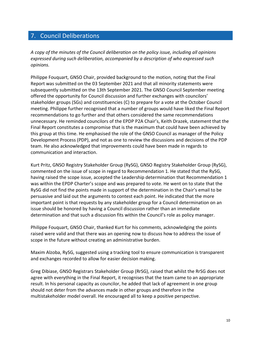# <span id="page-9-0"></span>7. Council Deliberations

*A copy of the minutes of the Council deliberation on the policy issue, including all opinions expressed during such deliberation, accompanied by a description of who expressed such opinions.* 

Philippe Fouquart, GNSO Chair, provided background to the motion, noting that the Final Report was submitted on the 03 September 2021 and that all minority statements were subsequently submitted on the 13th September 2021. The GNSO Council September meeting offered the opportunity for Council discussion and further exchanges with councilors' stakeholder groups (SGs) and constituencies (C) to prepare for a vote at the October Council meeting. Philippe further recognised that a number of groups would have liked the Final Report recommendations to go further and that others considered the same recommendations unnecessary. He reminded councilors of the EPDP P2A Chair's, Keith Drazek, statement that the Final Report constitutes a compromise that is the maximum that could have been achieved by this group at this time. He emphasised the role of the GNSO Council as manager of the Policy Development Process (PDP), and not as one to review the discussions and decisions of the PDP team. He also acknowledged that improvements could have been made in regards to communication and interaction.

Kurt Pritz, GNSO Registry Stakeholder Group (RySG), GNSO Registry Stakeholder Group (RySG), commented on the issue of scope in regard to Recommendation 1. He stated that the RySG, having raised the scope issue, accepted the Leadership determination that Recommendation 1 was within the EPDP Charter's scope and was prepared to vote. He went on to state that the RySG did not find the points made in support of the determination in the Chair's email to be persuasive and laid out the arguments to contest each point. He indicated that the more important point is that requests by any stakeholder group for a Council determination on an issue should be honored by having a Council discussion rather than an immediate determination and that such a discussion fits within the Council's role as policy manager.

Philippe Fouquart, GNSO Chair, thanked Kurt for his comments, acknowledging the points raised were valid and that there was an opening now to discuss how to address the issue of scope in the future without creating an administrative burden.

Maxim Alzoba, RySG, suggested using a tracking tool to ensure communication is transparent and exchanges recorded to allow for easier decision making.

Greg Dibiase, GNSO Registrars Stakeholder Group (RrSG), raised that whilst the RrSG does not agree with everything in the Final Report, it recognises that the team came to an appropriate result. In his personal capacity as councilor, he added that lack of agreement in one group should not deter from the advances made in other groups and therefore in the multistakeholder model overall. He encouraged all to keep a positive perspective.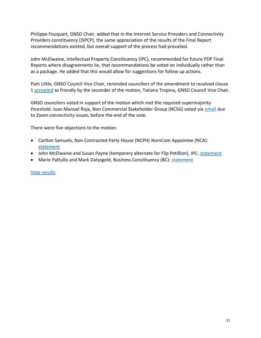Philippe Fouquart, GNSO Chair, added that in the Internet Service Providers and Connectivity Providers constituency (ISPCP), the same appreciation of the results of the Final Report recommendations existed, but overall support of the process had prevailed.

John McElwaine, Intellectual Property Constituency (IPC), recommended for future PDP Final Reports where disagreements lie, that recommendations be voted on individually rather than as a package. He added that this would allow for suggestions for follow up actions.

Pam Little, GNSO Council Vice Chair, reminded councilors of the amendment to resolved clause 1 [accepted](https://mm.icann.org/pipermail/council/2021-October/025124.html) as friendly by the seconder of the motion, Tatiana Tropina, GNSO Council Vice Chair.

GNSO councilors voted in support of the motion which met the required supermajority threshold. Juan Manuel Roja, Non Commercial Stakeholder Group (NCSG) voted via [email](https://mm.icann.org/pipermail/council/2021-October/025128.html) due to Zoom connectivity issues, before the end of the vote.

There were five objections to the motion:

- Carlton Samuels, Non Contracted Party House (NCPH) NomCom Appointee (NCA): [statement](https://gnso.icann.org/sites/default/files/policy/2021/presentation/ncph-nca-carltonsamuels-epdpp2a-27oct21-en.pdf)
- John McElwaine and Susan Payne (temporary alternate for Flip Petillion), IPC: [statement](https://gnso.icann.org/sites/default/files/policy/2021/presentation/ipc-statement-epdpp2a-27oct21-en.pdf)
- Marie Pattullo and Mark Datysgeld, Business Constituency (BC): [statement](https://gnso.icann.org/sites/default/files/policy/2021/presentation/bc-statement-epdpp2a-27oct21-en.pdf)

### [Vote results](https://gnso.icann.org/sites/default/files/policy/2021/vote-result/gnso-council-motion-recorder-27oct21-en.pdf)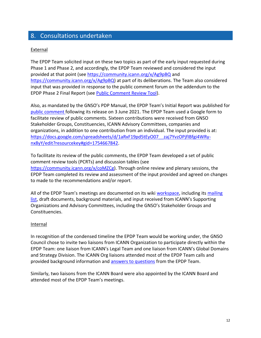# <span id="page-11-0"></span>8. Consultations undertaken

### **External**

The EPDP Team solicited input on these two topics as part of the early input requested during Phase 1 and Phase 2, and accordingly, the EPDP Team reviewed and considered the input provided at that point (see https://community.icann.org/x/Ag9pBQ and https://community.icann.org/x/Ag9pBQ) at part of its deliberations. The Team also considered input that was provided in response to the public comment forum on the addendum to the EPDP Phase 2 Final Report (see [Public Comment Review Tool\)](https://community.icann.org/download/attachments/126430750/gnso-EPDP-P2-pcrt-Initial-Report-Addendum-Recommendations_Legal_v_Natural_20200506.docx?version=2&modificationDate=1588972728000&api=v2).

Also, as mandated by the GNSO's PDP Manual, the EPDP Team's Initial Report was published for [public comment](https://www.icann.org/en/public-comment/proceeding/initial-report-of-the-expedited-policy-development-process-epdp-on-the-temporary-specification-for-gtld-registration-data-team--phase-2a-03-06-2021) following its release on 3 June 2021. The EPDP Team used a Google form to facilitate review of public comments. Sixteen contributions were received from GNSO Stakeholder Groups, Constituencies, ICANN Advisory Committees, companies and organizations, in addition to one contribution from an individual. The input provided is at: [https://docs.google.com/spreadsheets/d/1aRxF19pd5tEyO07\\_\\_zaj7YvzOPjfIBfgi4WRy](https://docs.google.com/spreadsheets/d/1aRxF19pd5tEyO07__zaj7YvzOPjfIBfgi4WRy-nx8yY/edit?resourcekey#gid=1754667842)[nx8yY/edit?resourcekey#gid=1754667842.](https://docs.google.com/spreadsheets/d/1aRxF19pd5tEyO07__zaj7YvzOPjfIBfgi4WRy-nx8yY/edit?resourcekey#gid=1754667842)

To facilitate its review of the public comments, the EPDP Team developed a set of public comment review tools (PCRTs) and discussion tables (see [https://community.icann.org/x/coMZCg\)](https://community.icann.org/x/coMZCg). Through online review and plenary sessions, the EPDP Team completed its review and assessment of the input provided and agreed on changes to made to the recommendations and/or report.

All of the EPDP Team's meetings are documented on its wiki [workspace,](https://community.icann.org/x/VojzC) including its [mailing](https://mm.icann.org/pipermail/gnso-epdp-team/)  [list,](https://mm.icann.org/pipermail/gnso-epdp-team/) draft documents, background materials, and input received from ICANN's Supporting Organizations and Advisory Committees, including the GNSO's Stakeholder Groups and Constituencies.

### **Internal**

In recognition of the condensed timeline the EPDP Team would be working under, the GNSO Council chose to invite two liaisons from ICANN Organization to participate directly within the EPDP Team: one liaison from ICANN's Legal Team and one liaison from ICANN's Global Domains and Strategy Division. The ICANN Org liaisons attended most of the EPDP Team calls and provided background information and **answers to questions** from the EPDP Team.

Similarly, two liaisons from the ICANN Board were also appointed by the ICANN Board and attended most of the EPDP Team's meetings.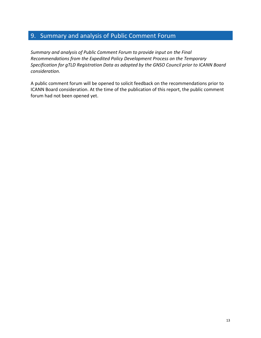# <span id="page-12-0"></span>9. Summary and analysis of Public Comment Forum

*Summary and analysis of Public Comment Forum to provide input on the Final Recommendations from the Expedited Policy Development Process on the Temporary Specification for gTLD Registration Data as adopted by the GNSO Council prior to ICANN Board consideration.* 

A public comment forum will be opened to solicit feedback on the recommendations prior to ICANN Board consideration. At the time of the publication of this report, the public comment forum had not been opened yet.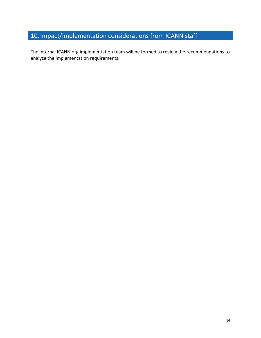# <span id="page-13-0"></span>10. Impact/implementation considerations from ICANN staff

The internal ICANN org implementation team will be formed to review the recommendations to analyze the implementation requirements.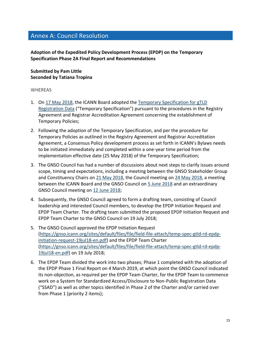# <span id="page-14-0"></span>Annex A: Council Resolution

**Adoption of the Expedited Policy Development Process (EPDP) on the Temporary Specification Phase 2A Final Report and Recommendations**

### **Submitted by Pam Little Seconded by Tatiana Tropina**

### WHEREAS

- 1. On [17 May 2018,](https://www.icann.org/resources/board-material/resolutions-2018-05-17-en) the ICANN Board adopted the [Temporary Specification for gTLD](https://www.icann.org/resources/pages/gtld-registration-data-specs-en/#temp-spec)  [Registration Data](https://www.icann.org/resources/pages/gtld-registration-data-specs-en/#temp-spec) ("Temporary Specification") pursuant to the procedures in the Registry Agreement and Registrar Accreditation Agreement concerning the establishment of Temporary Policies;
- 2. Following the adoption of the Temporary Specification, and per the procedure for Temporary Policies as outlined in the Registry Agreement and Registrar Accreditation Agreement, a Consensus Policy development process as set forth in ICANN's Bylaws needs to be initiated immediately and completed within a one-year time period from the implementation effective date (25 May 2018) of the Temporary Specification;
- 3. The GNSO Council has had a number of discussions about next steps to clarify issues around scope, timing and expectations, including a meeting between the GNSO Stakeholder Group and Constituency Chairs on [21 May 2018,](https://participate.icann.org/p1420hhvj8w/) the Council meeting on [24 May 2018,](https://participate.icann.org/p8ppge1fbnu/) a meeting between the ICANN Board and the GNSO Council on [5 June 2018](https://participate.icann.org/p6ai9gt1qeg/) and an extraordinary GNSO Council meeting on [12 June 2018;](https://participate.icann.org/p2gm9co4zpi/)
- 4. Subsequently, the GNSO Council agreed to form a drafting team, consisting of Council leadership and interested Council members, to develop the EPDP Initiation Request and EPDP Team Charter. The drafting team submitted the proposed EPDP Initiation Request and EPDP Team Charter to the GNSO Council on 19 July 2018;
- 5. The GNSO Council approved the EPDP Initiation Request [\(https://gnso.icann.org/sites/default/files/file/field-file-attach/temp-spec-gtld-rd-epdp](https://gnso.icann.org/sites/default/files/file/field-file-attach/temp-spec-gtld-rd-epdp-initiation-request-19jul18-en.pdf)[initiation-request-19jul18-en.pdf\)](https://gnso.icann.org/sites/default/files/file/field-file-attach/temp-spec-gtld-rd-epdp-initiation-request-19jul18-en.pdf) and the EPDP Team Charter [\(https://gnso.icann.org/sites/default/files/file/field-file-attach/temp-spec-gtld-rd-epdp-](https://gnso.icann.org/sites/default/files/file/field-file-attach/temp-spec-gtld-rd-epdp-19jul18-en.pdf)[19jul18-en.pdf\)](https://gnso.icann.org/sites/default/files/file/field-file-attach/temp-spec-gtld-rd-epdp-19jul18-en.pdf) on 19 July 2018;
- 6. The EPDP Team divided the work into two phases; Phase 1 completed with the adoption of the EPDP Phase 1 Final Report on 4 March 2019, at which point the GNSO Council indicated its non-objection, as required per the EPDP Team Charter, for the EPDP Team to commence work on a System for Standardized Access/Disclosure to Non-Public Registration Data ("SSAD") as well as other topics identified in Phase 2 of the Charter and/or carried over from Phase 1 (priority 2 items);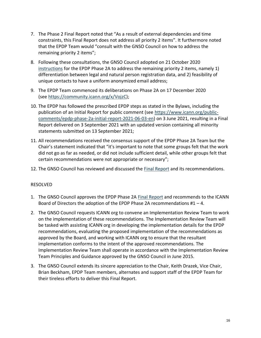- 7. The Phase 2 Final Report noted that "As a result of external dependencies and time constraints, this Final Report does not address all priority 2 items". It furthermore noted that the EPDP Team would "consult with the GNSO Council on how to address the remaining priority 2 items";
- 8. Following these consultations, the GNSO Council adopted on 21 October 2020 [instructions](https://gnso.icann.org/sites/default/files/file/field-file-attach/epdp-2-priority-2-items-10sep20-en.pdf) for the EPDP Phase 2A to address the remaining priority 2 items, namely 1) differentiation between legal and natural person registration data, and 2) feasibility of unique contacts to have a uniform anonymized email address;
- 9. The EPDP Team commenced its deliberations on Phase 2A on 17 December 2020 (see [https://community.icann.org/x/VojzC\)](https://community.icann.org/x/VojzC);
- 10. The EPDP has followed the prescribed EPDP steps as stated in the Bylaws, including the publication of an Initial Report for public comment (see [https://www.icann.org/public](https://www.icann.org/public-comments/epdp-phase-2a-initial-report-2021-06-03-en)[comments/epdp-phase-2a-initial-report-2021-06-03-en\)](https://www.icann.org/public-comments/epdp-phase-2a-initial-report-2021-06-03-en) on 3 June 2021, resulting in a Final Report delivered on 3 September 2021 with an updated version containing all minority statements submitted on 13 September 2021;
- 11. All recommendations received the consensus support of the EPDP Phase 2A Team but the Chair's statement indicated that "it's important to note that some groups felt that the work did not go as far as needed, or did not include sufficient detail, while other groups felt that certain recommendations were not appropriate or necessary";
- 12. The GNSO Council has reviewed and discussed the [Final Report](https://gnso.icann.org/sites/default/files/file/field-file-attach/epdp-phase-2a-updated-final-report-13sep21-en.pdf) and its recommendations.

### RESOLVED

- 1. The GNSO Council approves the EPDP Phase 2A [Final Report](https://gnso.icann.org/sites/default/files/file/field-file-attach/epdp-phase-2a-updated-final-report-13sep21-en.pdf) and recommends to the ICANN Board of Directors the adoption of the EPDP Phase 2A recommendations  $#1 - 4$ .
- 2. The GNSO Council requests ICANN org to convene an Implementation Review Team to work on the implementation of these recommendations. The Implementation Review Team will be tasked with assisting ICANN org in developing the implementation details for the EPDP recommendations, evaluating the proposed implementation of the recommendations as approved by the Board, and working with ICANN org to ensure that the resultant implementation conforms to the intent of the approved recommendations. The Implementation Review Team shall operate in accordance with the Implementation Review Team Principles and Guidance approved by the GNSO Council in June 2015.
- 3. The GNSO Council extends its sincere appreciation to the Chair, Keith Drazek, Vice Chair, Brian Beckham, EPDP Team members, alternates and support staff of the EPDP Team for their tireless efforts to deliver this Final Report.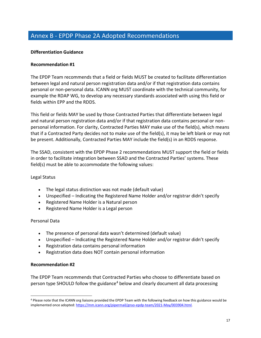# <span id="page-16-0"></span>Annex B - EPDP Phase 2A Adopted Recommendations

### **Differentiation Guidance**

### **Recommendation #1**

The EPDP Team recommends that a field or fields MUST be created to facilitate differentiation between legal and natural person registration data and/or if that registration data contains personal or non-personal data. ICANN org MUST coordinate with the technical community, for example the RDAP WG, to develop any necessary standards associated with using this field or fields within EPP and the RDDS.

This field or fields MAY be used by those Contracted Parties that differentiate between legal and natural person registration data and/or if that registration data contains personal or nonpersonal information. For clarity, Contracted Parties MAY make use of the field(s), which means that if a Contracted Party decides not to make use of the field(s), it may be left blank or may not be present. Additionally, Contracted Parties MAY include the field(s) in an RDDS response.

The SSAD, consistent with the EPDP Phase 2 recommendations MUST support the field or fields in order to facilitate integration between SSAD and the Contracted Parties' systems. These field(s) must be able to accommodate the following values:

#### Legal Status

- The legal status distinction was not made (default value)
- Unspecified Indicating the Registered Name Holder and/or registrar didn't specify
- Registered Name Holder is a Natural person
- Registered Name Holder is a Legal person

#### Personal Data

- The presence of personal data wasn't determined (default value)
- Unspecified Indicating the Registered Name Holder and/or registrar didn't specify
- Registration data contains personal information
- Registration data does NOT contain personal information

#### **Recommendation #2**

The EPDP Team recommends that Contracted Parties who choose to differentiate based on person type SHOULD follow the guidance<sup>4</sup> below and clearly document all data processing

<sup>4</sup> Please note that the ICANN org liaisons provided the EPDP Team with the following feedback on how this guidance would be implemented once adopted[: https://mm.icann.org/pipermail/gnso-epdp-team/2021-May/003904.html.](https://mm.icann.org/pipermail/gnso-epdp-team/2021-May/003904.html)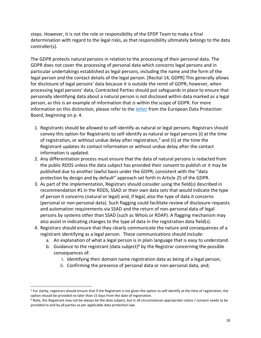steps. However, it is not the role or responsibility of the EPDP Team to make a final determination with regard to the legal risks, as that responsibility ultimately belongs to the data controller(s).

The GDPR protects natural persons in relation to the processing of their personal data. The GDPR does not cover the processing of personal data which concerns legal persons and in particular undertakings established as legal persons, including the name and the form of the legal person and the contact details of the legal person. [Recital 14, GDPR] This generally allows for disclosure of legal persons' data because it is outside the remit of GDPR; however, when processing legal persons' data, Contracted Parties should put safeguards in place to ensure that personally identifying data about a natural person is not disclosed within data marked as a legal person, as this is an example of information that *is* within the scope of GDPR. For more information on this distinction, please refer to the [letter](https://www.icann.org/en/system/files/correspondence/jelinek-to-marby-05jul18-en.pdf) from the European Data Protection Board, beginning on p. 4.

- 1. Registrants should be allowed to self-identify as natural or legal persons. Registrars should convey this option for Registrants to self-identify as natural or legal persons (i) at the time of registration, or without undue delay after registration,<sup>5</sup> and (ii) at the time the Registrant updates its contact information or without undue delay after the contact information is updated.
- 2. Any differentiation process must ensure that the data of natural persons is redacted from the public RDDS unless the data subject has provided their consent to publish or it may be published due to another lawful basis under the GDPR, consistent with the "data protection by design and by default" approach set forth in Article 25 of the GDPR.
- 3. As part of the implementation, Registrars should consider using the field(s) described in recommendation #1 in the RDDS, SSAD or their own data sets that would indicate the type of person it concerns (natural or legal) and, if legal, also the type of data it concerns (personal or non-personal data). Such flagging could facilitate review of disclosure requests and automation requirements via SSAD and the return of non-personal data of legal persons by systems other than SSAD (such as Whois or RDAP). A flagging mechanism may also assist in indicating changes to the type of data in the registration data field(s).
- 4. Registrars should ensure that they clearly communicate the nature and consequences of a registrant identifying as a legal person. These communications should include:
	- a. An explanation of what a legal person is in plain language that is easy to understand.
	- b. Guidance to the registrant (data subject)<sup>6</sup> by the Registrar concerning the possible consequences of:
		- i. Identifying their domain name registration data as being of a legal person;
		- ii. Confirming the presence of personal data or non-personal data, and;

<sup>5</sup> For clarity, registrars should ensure that if the Registrant is not given the option to self-identify at the time of registration, the option should be provided no later than 15 days from the date of registration.

 $6$  Note, the Registrant may not be always be the data subject, but in all circumstances appropriate notice / consent needs to be provided to and by all parties as per applicable data protection law.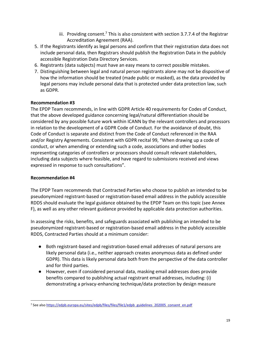- iii. Providing consent.<sup>7</sup> This is also consistent with section 3.7.7.4 of the Registrar Accreditation Agreement (RAA).
- 5. If the Registrants identify as legal persons and confirm that their registration data does not include personal data, then Registrars should publish the Registration Data in the publicly accessible Registration Data Directory Services.
- 6. Registrants (data subjects) must have an easy means to correct possible mistakes.
- 7. Distinguishing between legal and natural person registrants alone may not be dispositive of how the information should be treated (made public or masked), as the data provided by legal persons may include personal data that is protected under data protection law, such as GDPR.

### **Recommendation #3**

The EPDP Team recommends, in line with GDPR Article 40 requirements for Codes of Conduct, that the above developed guidance concerning legal/natural differentiation should be considered by any possible future work within ICANN by the relevant controllers and processors in relation to the development of a GDPR Code of Conduct. For the avoidance of doubt, this Code of Conduct is separate and distinct from the Code of Conduct referenced in the RAA and/or Registry Agreements. Consistent with GDPR recital 99, "When drawing up a code of conduct, or when amending or extending such a code, associations and other bodies representing categories of controllers or processors should consult relevant stakeholders, including data subjects where feasible, and have regard to submissions received and views expressed in response to such consultations".

### **Recommendation #4**

The EPDP Team recommends that Contracted Parties who choose to publish an intended to be pseudonymized registrant-based or registration-based email address in the publicly accessible RDDS should evaluate the legal guidance obtained by the EPDP Team on this topic (see Annex F), as well as any other relevant guidance provided by applicable data protection authorities.

In assessing the risks, benefits, and safeguards associated with publishing an intended to be pseudonymized registrant-based or registration-based email address in the publicly accessible RDDS, Contracted Parties should at a minimum consider:

- Both registrant-based and registration-based email addresses of natural persons are likely personal data (i.e., neither approach creates anonymous data as defined under GDPR). This data is likely personal data both from the perspective of the data controller and for third parties.
- However, even if considered personal data, masking email addresses does provide benefits compared to publishing actual registrant email addresses, including: (i) demonstrating a privacy-enhancing technique/data protection by design measure

<sup>&</sup>lt;sup>7</sup> See also [https://edpb.europa.eu/sites/edpb/files/files/file1/edpb\\_guidelines\\_202005\\_consent\\_en.pdf](https://edpb.europa.eu/sites/edpb/files/files/file1/edpb_guidelines_202005_consent_en.pdf)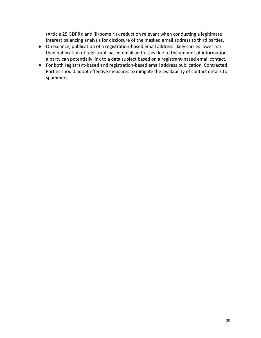(Article 25 GDPR); and (ii) some risk reduction relevant when conducting a legitimate interest balancing analysis for disclosure of the masked email address to third parties.

- On balance, publication of a registration-based email address likely carries lower risk than publication of registrant-based email addresses due to the amount of information a party can potentially link to a data subject based on a registrant-based email contact.
- For both registrant-based and registration-based email address publication, Contracted Parties should adopt effective measures to mitigate the availability of contact details to spammers.